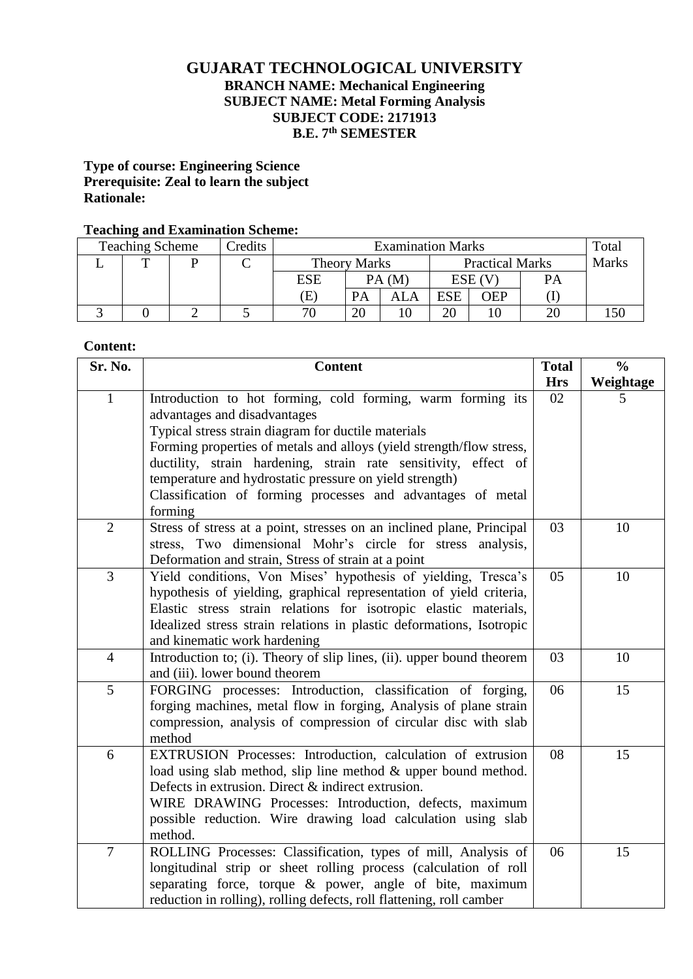# **GUJARAT TECHNOLOGICAL UNIVERSITY BRANCH NAME: Mechanical Engineering SUBJECT NAME: Metal Forming Analysis SUBJECT CODE: 2171913 B.E. 7 th SEMESTER**

## **Type of course: Engineering Science Prerequisite: Zeal to learn the subject Rationale:**

### **Teaching and Examination Scheme:**

| $\overline{\phantom{0}}$<br><b>Examination Marks</b><br><b>Teaching Scheme</b><br>Credits |  |  |                     | Total |                        |            |              |  |
|-------------------------------------------------------------------------------------------|--|--|---------------------|-------|------------------------|------------|--------------|--|
|                                                                                           |  |  | <b>Theory Marks</b> |       | <b>Practical Marks</b> |            | <b>Marks</b> |  |
|                                                                                           |  |  | <b>ESE</b>          |       | PA(M)                  |            | ESE (V       |  |
|                                                                                           |  |  | Έ                   |       | ALA                    | <b>ESE</b> | <b>DEP</b>   |  |
|                                                                                           |  |  | חר                  | 20    |                        | 20         |              |  |

## **Content:**

| Sr. No.        | <b>Content</b>                                                                                                                                                                                                                                                                                                                                                                                                                     | <b>Total</b> | $\frac{0}{0}$ |
|----------------|------------------------------------------------------------------------------------------------------------------------------------------------------------------------------------------------------------------------------------------------------------------------------------------------------------------------------------------------------------------------------------------------------------------------------------|--------------|---------------|
|                |                                                                                                                                                                                                                                                                                                                                                                                                                                    | <b>Hrs</b>   | Weightage     |
| $\mathbf{1}$   | Introduction to hot forming, cold forming, warm forming its<br>advantages and disadvantages<br>Typical stress strain diagram for ductile materials<br>Forming properties of metals and alloys (yield strength/flow stress,<br>ductility, strain hardening, strain rate sensitivity, effect of<br>temperature and hydrostatic pressure on yield strength)<br>Classification of forming processes and advantages of metal<br>forming | 02           | 5             |
| $\overline{2}$ | Stress of stress at a point, stresses on an inclined plane, Principal<br>stress, Two dimensional Mohr's circle for stress analysis,<br>Deformation and strain, Stress of strain at a point                                                                                                                                                                                                                                         | 03           | 10            |
| $\overline{3}$ | Yield conditions, Von Mises' hypothesis of yielding, Tresca's<br>hypothesis of yielding, graphical representation of yield criteria,<br>Elastic stress strain relations for isotropic elastic materials,<br>Idealized stress strain relations in plastic deformations, Isotropic<br>and kinematic work hardening                                                                                                                   | 05           | 10            |
| $\overline{4}$ | Introduction to; (i). Theory of slip lines, (ii). upper bound theorem<br>and (iii). lower bound theorem                                                                                                                                                                                                                                                                                                                            | 03           | 10            |
| 5              | FORGING processes: Introduction, classification of forging,<br>forging machines, metal flow in forging, Analysis of plane strain<br>compression, analysis of compression of circular disc with slab<br>method                                                                                                                                                                                                                      | 06           | 15            |
| 6              | EXTRUSION Processes: Introduction, calculation of extrusion<br>load using slab method, slip line method & upper bound method.<br>Defects in extrusion. Direct & indirect extrusion.<br>WIRE DRAWING Processes: Introduction, defects, maximum<br>possible reduction. Wire drawing load calculation using slab<br>method.                                                                                                           | 08           | 15            |
| $\overline{7}$ | ROLLING Processes: Classification, types of mill, Analysis of<br>longitudinal strip or sheet rolling process (calculation of roll<br>separating force, torque & power, angle of bite, maximum<br>reduction in rolling), rolling defects, roll flattening, roll camber                                                                                                                                                              | 06           | 15            |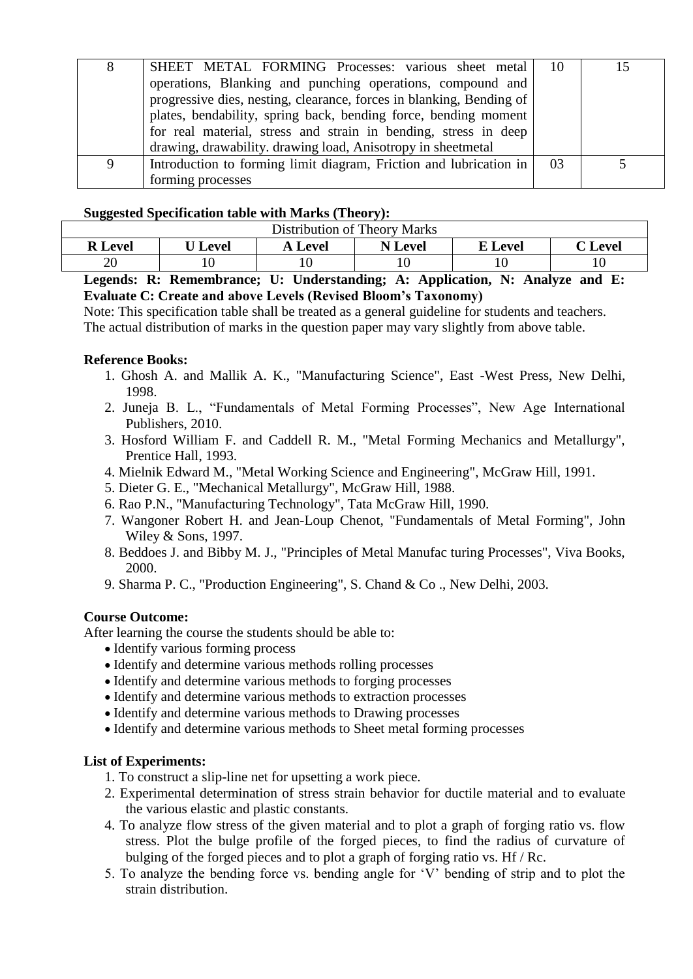| 8 | SHEET METAL FORMING Processes: various sheet metal<br>operations, Blanking and punching operations, compound and<br>progressive dies, nesting, clearance, forces in blanking, Bending of           | -10 |  |
|---|----------------------------------------------------------------------------------------------------------------------------------------------------------------------------------------------------|-----|--|
|   | plates, bendability, spring back, bending force, bending moment<br>for real material, stress and strain in bending, stress in deep<br>drawing, drawability. drawing load, Anisotropy in sheetmetal |     |  |
|   | Introduction to forming limit diagram, Friction and lubrication in<br>forming processes                                                                                                            | 03  |  |

## **Suggested Specification table with Marks (Theory):**

| ີ<br>Distribution of Theory Marks                                           |                |                |                |                |         |  |  |
|-----------------------------------------------------------------------------|----------------|----------------|----------------|----------------|---------|--|--|
| <b>R</b> Level                                                              | <b>U</b> Level | <b>A</b> Level | <b>N</b> Level | <b>E</b> Level | C Level |  |  |
|                                                                             |                |                |                |                |         |  |  |
| geende. D. Demembrance, H. Huderstanding, A. Annliestien, N. Anglyze and E. |                |                |                |                |         |  |  |

#### **Legends: R: Remembrance; U: Understanding; A: Application, N: Analyze and E: Evaluate C: Create and above Levels (Revised Bloom's Taxonomy)**

Note: This specification table shall be treated as a general guideline for students and teachers. The actual distribution of marks in the question paper may vary slightly from above table.

## **Reference Books:**

- 1. Ghosh A. and Mallik A. K., "Manufacturing Science", East -West Press, New Delhi, 1998.
- 2. Juneja B. L., "Fundamentals of Metal Forming Processes", New Age International Publishers, 2010.
- 3. Hosford William F. and Caddell R. M., "Metal Forming Mechanics and Metallurgy", Prentice Hall, 1993.
- 4. Mielnik Edward M., "Metal Working Science and Engineering", McGraw Hill, 1991.
- 5. Dieter G. E., "Mechanical Metallurgy", McGraw Hill, 1988.
- 6. Rao P.N., "Manufacturing Technology", Tata McGraw Hill, 1990.
- 7. Wangoner Robert H. and Jean-Loup Chenot, "Fundamentals of Metal Forming", John Wiley & Sons, 1997.
- 8. Beddoes J. and Bibby M. J., "Principles of Metal Manufac turing Processes", Viva Books, 2000.
- 9. Sharma P. C., "Production Engineering", S. Chand & Co ., New Delhi, 2003.

#### **Course Outcome:**

After learning the course the students should be able to:

- Identify various forming process
- Identify and determine various methods rolling processes
- Identify and determine various methods to forging processes
- Identify and determine various methods to extraction processes
- Identify and determine various methods to Drawing processes
- Identify and determine various methods to Sheet metal forming processes

## **List of Experiments:**

- 1. To construct a slip-line net for upsetting a work piece.
- 2. Experimental determination of stress strain behavior for ductile material and to evaluate the various elastic and plastic constants.
- 4. To analyze flow stress of the given material and to plot a graph of forging ratio vs. flow stress. Plot the bulge profile of the forged pieces, to find the radius of curvature of bulging of the forged pieces and to plot a graph of forging ratio vs. Hf / Rc.
- 5. To analyze the bending force vs. bending angle for 'V' bending of strip and to plot the strain distribution.